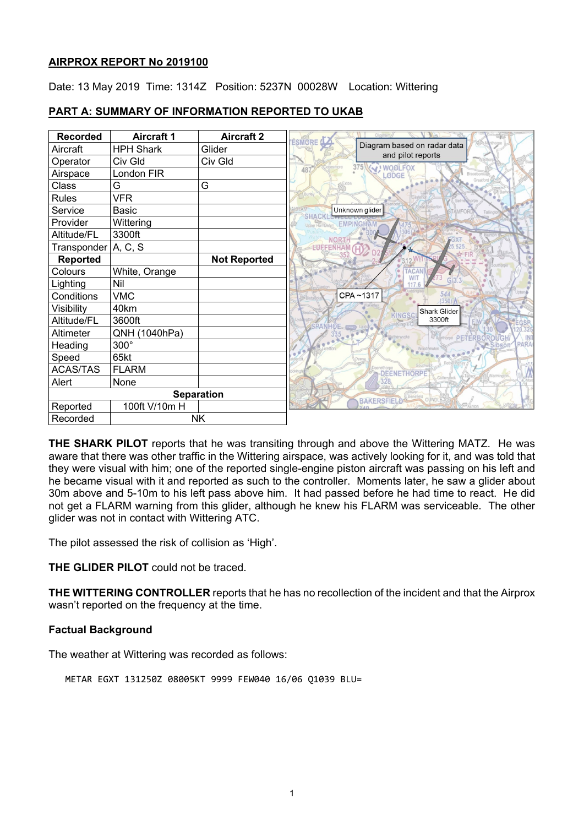# **AIRPROX REPORT No 2019100**

Date: 13 May 2019 Time: 1314Z Position: 5237N 00028W Location: Wittering

#### **Recorded Aircraft 1 Aircraft 2**<br>**Aircraft HPH Shark Glider** ESMORE Diagram based on radar data Aircraft **HPH** Shark and pilot reports Operator Civ Gld
Civ Gld
Civ Gld
Civ Gld
Civ Gld
Civ Gld
Civ Gld
Civ Gld
Civ Gld
Civ Gld
Civ Gld
Civ Gld
Civ Gld
Civ Gld
Civ Gld
Civ Gld
Civ Gld
Civ Gld
Civ Gld
Civ Gld
Civ Gld
Civ Gld
Civ Gld
Civ Gld
Civ Gld
Civ Gld
Civ G  $375$ WOOLFOX  $\Delta$ <sub>R</sub> Airspace | London FIR **ADGE** Class G G G Rules VFR Service Basic Unknown glider SHACK Provider Wittering Altitude/FL 3300ft NOR<sub>3</sub> Transponder  $A, C, S$ **ENFFENHAM Reported Not Reported** Colours White, Orange Lighting Nil<br>Conditions VMC CPA~1317 Conditions Visibility 40km Shark Glider 3300ft Altitude/FL 3600ft Altimeter | QNH (1040hPa)  $\mathbb{R}$ Heading | 300° Speed 65kt ACAS/TAS FLARM Alert None 328 **Separation BAKERSFIELD** Reported | 100ft V/10m H Recorded NK

# **PART A: SUMMARY OF INFORMATION REPORTED TO UKAB**

**THE SHARK PILOT** reports that he was transiting through and above the Wittering MATZ. He was aware that there was other traffic in the Wittering airspace, was actively looking for it, and was told that they were visual with him; one of the reported single-engine piston aircraft was passing on his left and he became visual with it and reported as such to the controller. Moments later, he saw a glider about 30m above and 5-10m to his left pass above him. It had passed before he had time to react. He did not get a FLARM warning from this glider, although he knew his FLARM was serviceable. The other glider was not in contact with Wittering ATC.

The pilot assessed the risk of collision as 'High'.

**THE GLIDER PILOT** could not be traced.

**THE WITTERING CONTROLLER** reports that he has no recollection of the incident and that the Airprox wasn't reported on the frequency at the time.

# **Factual Background**

The weather at Wittering was recorded as follows:

METAR EGXT 131250Z 08005KT 9999 FEW040 16/06 Q1039 BLU=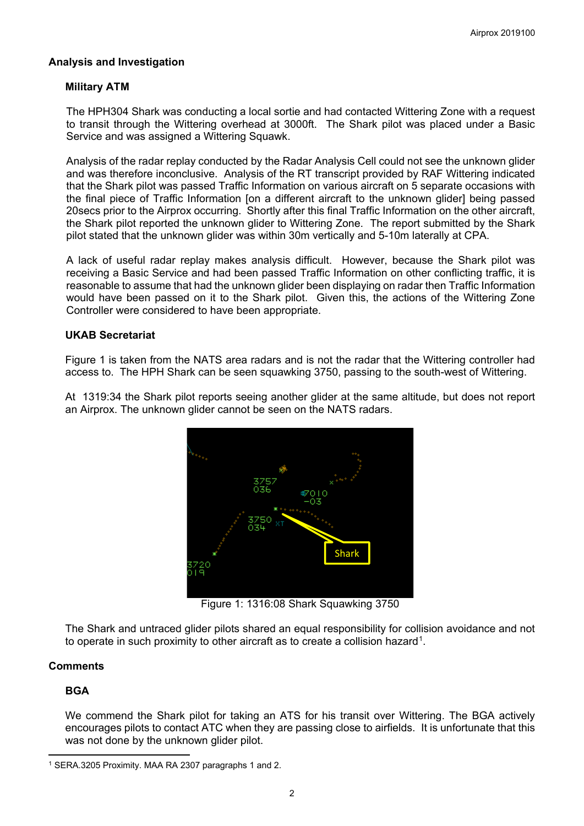# **Analysis and Investigation**

# **Military ATM**

The HPH304 Shark was conducting a local sortie and had contacted Wittering Zone with a request to transit through the Wittering overhead at 3000ft. The Shark pilot was placed under a Basic Service and was assigned a Wittering Squawk.

Analysis of the radar replay conducted by the Radar Analysis Cell could not see the unknown glider and was therefore inconclusive. Analysis of the RT transcript provided by RAF Wittering indicated that the Shark pilot was passed Traffic Information on various aircraft on 5 separate occasions with the final piece of Traffic Information [on a different aircraft to the unknown glider] being passed 20secs prior to the Airprox occurring. Shortly after this final Traffic Information on the other aircraft, the Shark pilot reported the unknown glider to Wittering Zone. The report submitted by the Shark pilot stated that the unknown glider was within 30m vertically and 5-10m laterally at CPA.

A lack of useful radar replay makes analysis difficult. However, because the Shark pilot was receiving a Basic Service and had been passed Traffic Information on other conflicting traffic, it is reasonable to assume that had the unknown glider been displaying on radar then Traffic Information would have been passed on it to the Shark pilot. Given this, the actions of the Wittering Zone Controller were considered to have been appropriate.

#### **UKAB Secretariat**

Figure 1 is taken from the NATS area radars and is not the radar that the Wittering controller had access to. The HPH Shark can be seen squawking 3750, passing to the south-west of Wittering.

At 1319:34 the Shark pilot reports seeing another glider at the same altitude, but does not report an Airprox. The unknown glider cannot be seen on the NATS radars.



Figure 1: 1316:08 Shark Squawking 3750

The Shark and untraced glider pilots shared an equal responsibility for collision avoidance and not to operate in such proximity to other aircraft as to create a collision hazard<sup>[1](#page-1-0)</sup>.

# **Comments**

# **BGA**

 $\overline{\phantom{a}}$ 

We commend the Shark pilot for taking an ATS for his transit over Wittering. The BGA actively encourages pilots to contact ATC when they are passing close to airfields. It is unfortunate that this was not done by the unknown glider pilot.

<span id="page-1-0"></span><sup>1</sup> SERA.3205 Proximity. MAA RA 2307 paragraphs 1 and 2.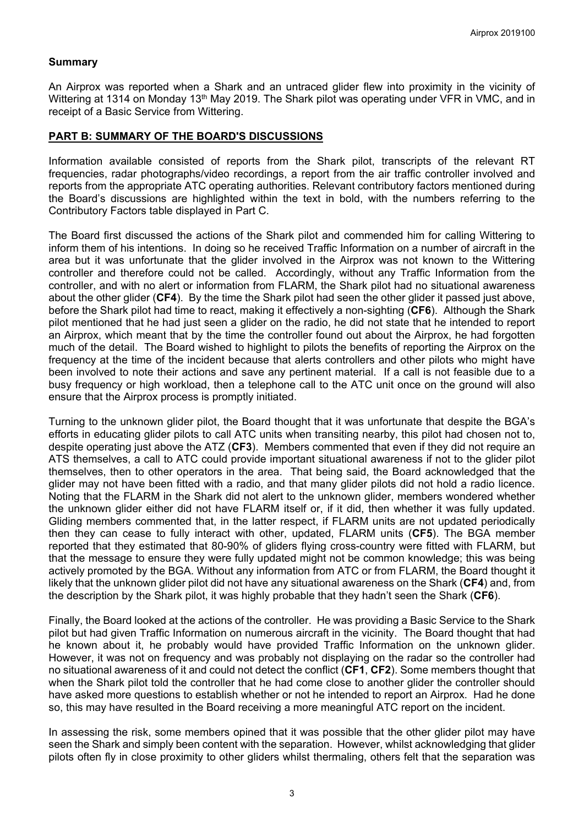# **Summary**

An Airprox was reported when a Shark and an untraced glider flew into proximity in the vicinity of Wittering at 1314 on Monday 13<sup>th</sup> May 2019. The Shark pilot was operating under VFR in VMC, and in receipt of a Basic Service from Wittering.

### **PART B: SUMMARY OF THE BOARD'S DISCUSSIONS**

Information available consisted of reports from the Shark pilot, transcripts of the relevant RT frequencies, radar photographs/video recordings, a report from the air traffic controller involved and reports from the appropriate ATC operating authorities. Relevant contributory factors mentioned during the Board's discussions are highlighted within the text in bold, with the numbers referring to the Contributory Factors table displayed in Part C.

The Board first discussed the actions of the Shark pilot and commended him for calling Wittering to inform them of his intentions. In doing so he received Traffic Information on a number of aircraft in the area but it was unfortunate that the glider involved in the Airprox was not known to the Wittering controller and therefore could not be called. Accordingly, without any Traffic Information from the controller, and with no alert or information from FLARM, the Shark pilot had no situational awareness about the other glider (**CF4**). By the time the Shark pilot had seen the other glider it passed just above, before the Shark pilot had time to react, making it effectively a non-sighting (**CF6**). Although the Shark pilot mentioned that he had just seen a glider on the radio, he did not state that he intended to report an Airprox, which meant that by the time the controller found out about the Airprox, he had forgotten much of the detail. The Board wished to highlight to pilots the benefits of reporting the Airprox on the frequency at the time of the incident because that alerts controllers and other pilots who might have been involved to note their actions and save any pertinent material. If a call is not feasible due to a busy frequency or high workload, then a telephone call to the ATC unit once on the ground will also ensure that the Airprox process is promptly initiated.

Turning to the unknown glider pilot, the Board thought that it was unfortunate that despite the BGA's efforts in educating glider pilots to call ATC units when transiting nearby, this pilot had chosen not to, despite operating just above the ATZ (**CF3**). Members commented that even if they did not require an ATS themselves, a call to ATC could provide important situational awareness if not to the glider pilot themselves, then to other operators in the area. That being said, the Board acknowledged that the glider may not have been fitted with a radio, and that many glider pilots did not hold a radio licence. Noting that the FLARM in the Shark did not alert to the unknown glider, members wondered whether the unknown glider either did not have FLARM itself or, if it did, then whether it was fully updated. Gliding members commented that, in the latter respect, if FLARM units are not updated periodically then they can cease to fully interact with other, updated, FLARM units (**CF5**). The BGA member reported that they estimated that 80-90% of gliders flying cross-country were fitted with FLARM, but that the message to ensure they were fully updated might not be common knowledge; this was being actively promoted by the BGA. Without any information from ATC or from FLARM, the Board thought it likely that the unknown glider pilot did not have any situational awareness on the Shark (**CF4**) and, from the description by the Shark pilot, it was highly probable that they hadn't seen the Shark (**CF6**).

Finally, the Board looked at the actions of the controller. He was providing a Basic Service to the Shark pilot but had given Traffic Information on numerous aircraft in the vicinity. The Board thought that had he known about it, he probably would have provided Traffic Information on the unknown glider. However, it was not on frequency and was probably not displaying on the radar so the controller had no situational awareness of it and could not detect the conflict (**CF1**, **CF2**). Some members thought that when the Shark pilot told the controller that he had come close to another glider the controller should have asked more questions to establish whether or not he intended to report an Airprox. Had he done so, this may have resulted in the Board receiving a more meaningful ATC report on the incident.

In assessing the risk, some members opined that it was possible that the other glider pilot may have seen the Shark and simply been content with the separation. However, whilst acknowledging that glider pilots often fly in close proximity to other gliders whilst thermaling, others felt that the separation was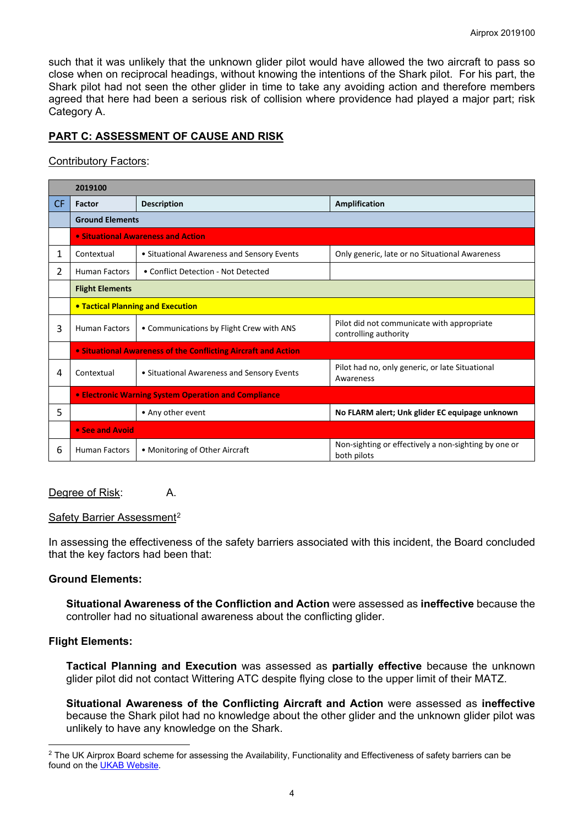such that it was unlikely that the unknown glider pilot would have allowed the two aircraft to pass so close when on reciprocal headings, without knowing the intentions of the Shark pilot. For his part, the Shark pilot had not seen the other glider in time to take any avoiding action and therefore members agreed that here had been a serious risk of collision where providence had played a major part; risk Category A.

# **PART C: ASSESSMENT OF CAUSE AND RISK**

# Contributory Factors:

|     | 2019100                                              |                                                                |                                                                     |  |  |  |  |  |  |  |  |
|-----|------------------------------------------------------|----------------------------------------------------------------|---------------------------------------------------------------------|--|--|--|--|--|--|--|--|
| CF. | Factor                                               | <b>Description</b>                                             | Amplification                                                       |  |  |  |  |  |  |  |  |
|     | <b>Ground Elements</b>                               |                                                                |                                                                     |  |  |  |  |  |  |  |  |
|     | • Situational Awareness and Action                   |                                                                |                                                                     |  |  |  |  |  |  |  |  |
| 1   | Contextual                                           | • Situational Awareness and Sensory Events                     | Only generic, late or no Situational Awareness                      |  |  |  |  |  |  |  |  |
| 2   | <b>Human Factors</b>                                 | • Conflict Detection - Not Detected                            |                                                                     |  |  |  |  |  |  |  |  |
|     | <b>Flight Elements</b>                               |                                                                |                                                                     |  |  |  |  |  |  |  |  |
|     |                                                      | <b>• Tactical Planning and Execution</b>                       |                                                                     |  |  |  |  |  |  |  |  |
| 3   | <b>Human Factors</b>                                 | • Communications by Flight Crew with ANS                       | Pilot did not communicate with appropriate<br>controlling authority |  |  |  |  |  |  |  |  |
|     |                                                      | • Situational Awareness of the Conflicting Aircraft and Action |                                                                     |  |  |  |  |  |  |  |  |
| 4   | Contextual                                           | • Situational Awareness and Sensory Events                     | Pilot had no, only generic, or late Situational<br>Awareness        |  |  |  |  |  |  |  |  |
|     | • Electronic Warning System Operation and Compliance |                                                                |                                                                     |  |  |  |  |  |  |  |  |
| 5   |                                                      | • Any other event                                              | No FLARM alert; Unk glider EC equipage unknown                      |  |  |  |  |  |  |  |  |
|     | • See and Avoid                                      |                                                                |                                                                     |  |  |  |  |  |  |  |  |
| 6   | <b>Human Factors</b>                                 | • Monitoring of Other Aircraft                                 | Non-sighting or effectively a non-sighting by one or<br>both pilots |  |  |  |  |  |  |  |  |

# Degree of Risk: A.

#### Safety Barrier Assessment<sup>[2](#page-3-0)</sup>

In assessing the effectiveness of the safety barriers associated with this incident, the Board concluded that the key factors had been that:

# **Ground Elements:**

**Situational Awareness of the Confliction and Action** were assessed as **ineffective** because the controller had no situational awareness about the conflicting glider.

# **Flight Elements:**

**Tactical Planning and Execution** was assessed as **partially effective** because the unknown glider pilot did not contact Wittering ATC despite flying close to the upper limit of their MATZ.

**Situational Awareness of the Conflicting Aircraft and Action** were assessed as **ineffective** because the Shark pilot had no knowledge about the other glider and the unknown glider pilot was unlikely to have any knowledge on the Shark.

<span id="page-3-0"></span> $\overline{\phantom{a}}$ <sup>2</sup> The UK Airprox Board scheme for assessing the Availability, Functionality and Effectiveness of safety barriers can be found on the [UKAB Website.](http://www.airproxboard.org.uk/Learn-more/Airprox-Barrier-Assessment/)